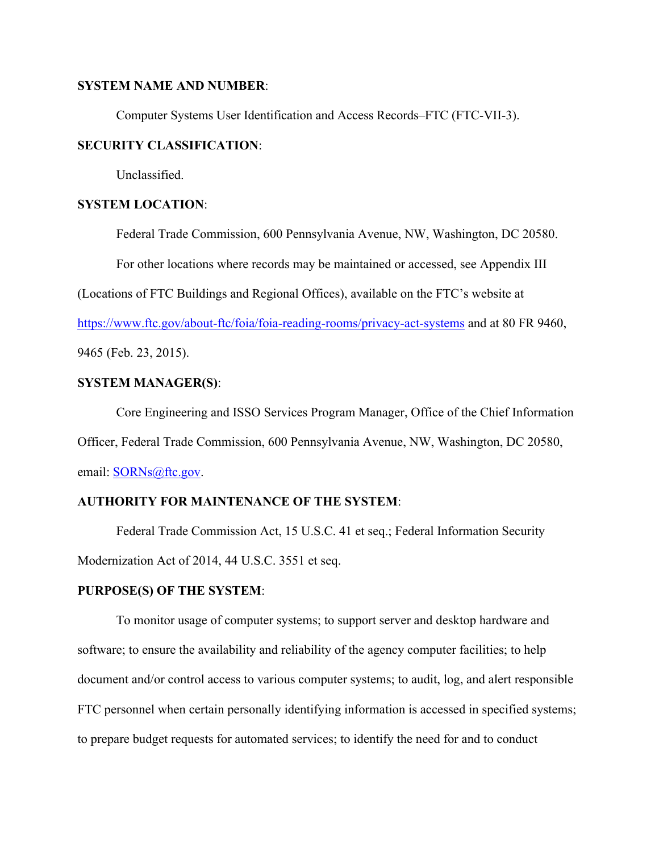### **SYSTEM NAME AND NUMBER**:

Computer Systems User Identification and Access Records–FTC (FTC-VII-3).

### **SECURITY CLASSIFICATION**:

Unclassified.

### **SYSTEM LOCATION**:

Federal Trade Commission, 600 Pennsylvania Avenue, NW, Washington, DC 20580.

For other locations where records may be maintained or accessed, see Appendix III

(Locations of FTC Buildings and Regional Offices), available on the FTC's website at

https://www.ftc.gov/about-ftc/foia/foia-reading-rooms/privacy-act-systems and at 80 FR 9460,

9465 (Feb. 23, 2015).

### **SYSTEM MANAGER(S)**:

Core Engineering and ISSO Services Program Manager, Office of the Chief Information Officer, Federal Trade Commission, 600 Pennsylvania Avenue, NW, Washington, DC 20580, email: **SORNs**@ftc.gov.

### **AUTHORITY FOR MAINTENANCE OF THE SYSTEM**:

 Federal Trade Commission Act, 15 U.S.C. 41 et seq.; Federal Information Security Modernization Act of 2014, 44 U.S.C. 3551 et seq.

### **PURPOSE(S) OF THE SYSTEM**:

 To monitor usage of computer systems; to support server and desktop hardware and software; to ensure the availability and reliability of the agency computer facilities; to help document and/or control access to various computer systems; to audit, log, and alert responsible FTC personnel when certain personally identifying information is accessed in specified systems; to prepare budget requests for automated services; to identify the need for and to conduct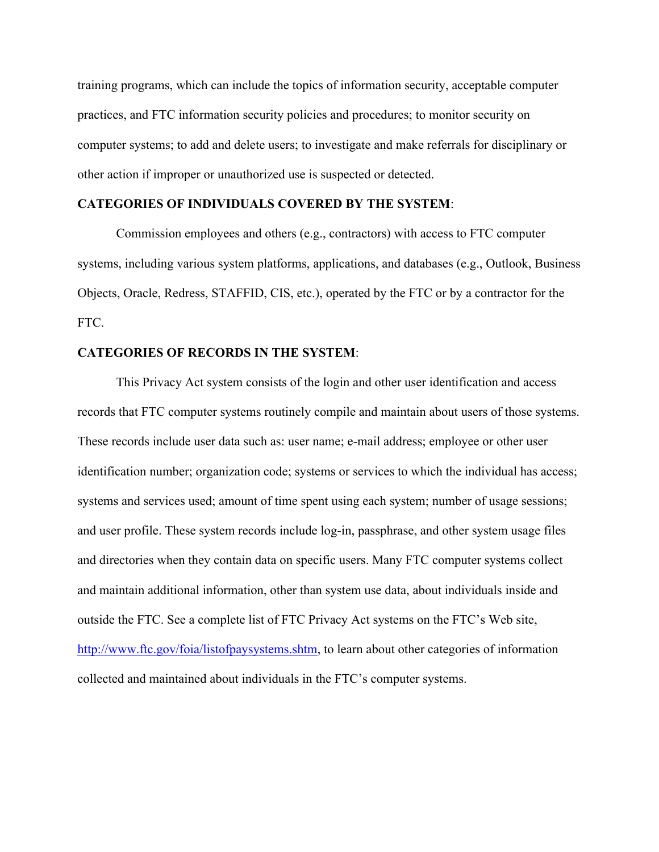training programs, which can include the topics of information security, acceptable computer practices, and FTC information security policies and procedures; to monitor security on computer systems; to add and delete users; to investigate and make referrals for disciplinary or other action if improper or unauthorized use is suspected or detected.

### **CATEGORIES OF INDIVIDUALS COVERED BY THE SYSTEM**:

 Commission employees and others (e.g., contractors) with access to FTC computer systems, including various system platforms, applications, and databases (e.g., Outlook, Business Objects, Oracle, Redress, STAFFID, CIS, etc.), operated by the FTC or by a contractor for the FTC.

### **CATEGORIES OF RECORDS IN THE SYSTEM**:

 This Privacy Act system consists of the login and other user identification and access records that FTC computer systems routinely compile and maintain about users of those systems. These records include user data such as: user name; e-mail address; employee or other user identification number; organization code; systems or services to which the individual has access; systems and services used; amount of time spent using each system; number of usage sessions; and user profile. These system records include log-in, passphrase, and other system usage files and directories when they contain data on specific users. Many FTC computer systems collect and maintain additional information, other than system use data, about individuals inside and outside the FTC. See a complete list of FTC Privacy Act systems on the FTC's Web site, http://www.ftc.gov/foia/listofpaysystems.shtm, to learn about other categories of information collected and maintained about individuals in the FTC's computer systems.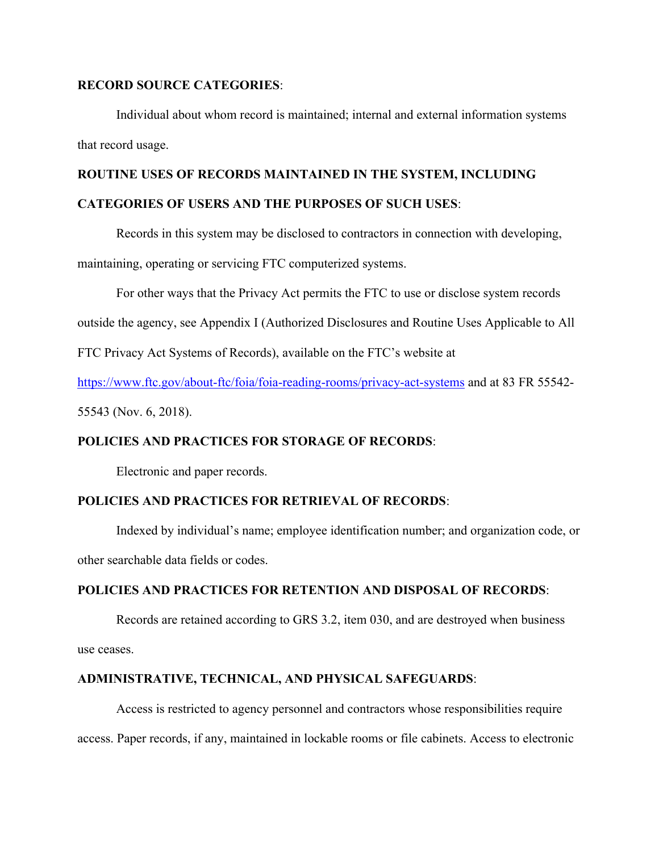### **RECORD SOURCE CATEGORIES**:

 Individual about whom record is maintained; internal and external information systems that record usage.

# **ROUTINE USES OF RECORDS MAINTAINED IN THE SYSTEM, INCLUDING**

## **CATEGORIES OF USERS AND THE PURPOSES OF SUCH USES**:

Records in this system may be disclosed to contractors in connection with developing,

maintaining, operating or servicing FTC computerized systems.

For other ways that the Privacy Act permits the FTC to use or disclose system records

outside the agency, see Appendix I (Authorized Disclosures and Routine Uses Applicable to All

FTC Privacy Act Systems of Records), available on the FTC's website at

https://www.ftc.gov/about-ftc/foia/foia-reading-rooms/privacy-act-systems and at 83 FR 55542-

55543 (Nov. 6, 2018).

# **POLICIES AND PRACTICES FOR STORAGE OF RECORDS**:

Electronic and paper records.

# **POLICIES AND PRACTICES FOR RETRIEVAL OF RECORDS**:

Indexed by individual's name; employee identification number; and organization code, or other searchable data fields or codes.

# **POLICIES AND PRACTICES FOR RETENTION AND DISPOSAL OF RECORDS**:

 Records are retained according to GRS 3.2, item 030, and are destroyed when business use ceases.

### **ADMINISTRATIVE, TECHNICAL, AND PHYSICAL SAFEGUARDS**:

Access is restricted to agency personnel and contractors whose responsibilities require access. Paper records, if any, maintained in lockable rooms or file cabinets. Access to electronic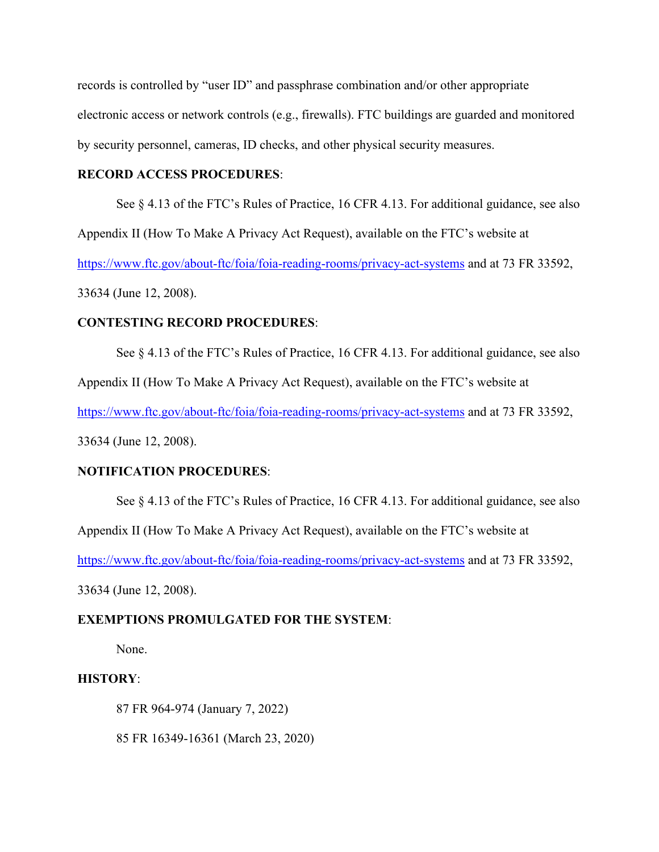records is controlled by "user ID" and passphrase combination and/or other appropriate electronic access or network controls (e.g., firewalls). FTC buildings are guarded and monitored by security personnel, cameras, ID checks, and other physical security measures.

### **RECORD ACCESS PROCEDURES**:

See  $\S 4.13$  of the FTC's Rules of Practice, 16 CFR 4.13. For additional guidance, see also

Appendix II (How To Make A Privacy Act Request), available on the FTC's website at

https://www.ftc.gov/about-ftc/foia/foia-reading-rooms/privacy-act-systems and at 73 FR 33592,

33634 (June 12, 2008).

### **CONTESTING RECORD PROCEDURES**:

 See § 4.13 of the FTC's Rules of Practice, 16 CFR 4.13. For additional guidance, see also Appendix II (How To Make A Privacy Act Request), available on the FTC's website at https://www.ftc.gov/about-ftc/foia/foia-reading-rooms/privacy-act-systems and at 73 FR 33592,

33634 (June 12, 2008).

#### **NOTIFICATION PROCEDURES**:

See § 4.13 of the FTC's Rules of Practice, 16 CFR 4.13. For additional guidance, see also

Appendix II (How To Make A Privacy Act Request), available on the FTC's website at

https://www.ftc.gov/about-ftc/foia/foia-reading-rooms/privacy-act-systems and at 73 FR 33592,

33634 (June 12, 2008).

#### **EXEMPTIONS PROMULGATED FOR THE SYSTEM**:

None.

#### **HISTORY**:

87 FR 964-974 (January 7, 2022)

85 FR 16349-16361 (March 23, 2020)